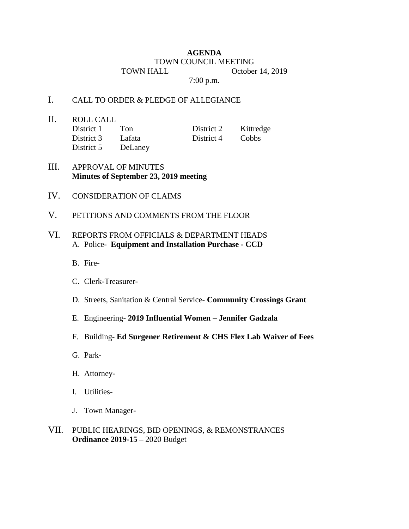## **AGENDA** TOWN COUNCIL MEETING TOWN HALL October 14, 2019

7:00 p.m.

## I. CALL TO ORDER & PLEDGE OF ALLEGIANCE

II. ROLL CALL District 1 Ton District 2 Kittredge District 3 Lafata District 4 Cobbs District 5 DeLaney

- III. APPROVAL OF MINUTES **Minutes of September 23, 2019 meeting**
- IV. CONSIDERATION OF CLAIMS
- V. PETITIONS AND COMMENTS FROM THE FLOOR

## VI. REPORTS FROM OFFICIALS & DEPARTMENT HEADS A. Police- **Equipment and Installation Purchase - CCD**

- B. Fire-
- C. Clerk-Treasurer-
- D. Streets, Sanitation & Central Service- **Community Crossings Grant**
- E. Engineering- **2019 Influential Women – Jennifer Gadzala**
- F. Building- **Ed Surgener Retirement & CHS Flex Lab Waiver of Fees**
- G. Park-
- H. Attorney-
- I. Utilities-
- J. Town Manager-
- VII. PUBLIC HEARINGS, BID OPENINGS, & REMONSTRANCES **Ordinance 2019-15 –** 2020 Budget